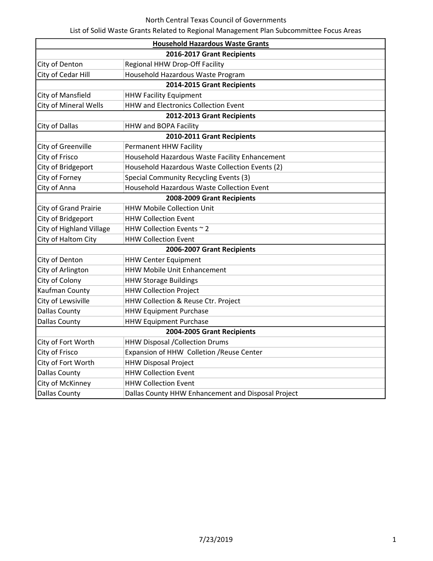## North Central Texas Council of Governments

List of Solid Waste Grants Related to Regional Management Plan Subcommittee Focus Areas

|                              | <b>Household Hazardous Waste Grants</b>            |  |  |
|------------------------------|----------------------------------------------------|--|--|
| 2016-2017 Grant Recipients   |                                                    |  |  |
| City of Denton               | Regional HHW Drop-Off Facility                     |  |  |
| City of Cedar Hill           | Household Hazardous Waste Program                  |  |  |
| 2014-2015 Grant Recipients   |                                                    |  |  |
| City of Mansfield            | <b>HHW Facility Equipment</b>                      |  |  |
| City of Mineral Wells        | <b>HHW and Electronics Collection Event</b>        |  |  |
|                              | 2012-2013 Grant Recipients                         |  |  |
| City of Dallas               | HHW and BOPA Facility                              |  |  |
| 2010-2011 Grant Recipients   |                                                    |  |  |
| City of Greenville           | <b>Permanent HHW Facility</b>                      |  |  |
| City of Frisco               | Household Hazardous Waste Facility Enhancement     |  |  |
| City of Bridgeport           | Household Hazardous Waste Collection Events (2)    |  |  |
| City of Forney               | Special Community Recycling Events (3)             |  |  |
| City of Anna                 | Household Hazardous Waste Collection Event         |  |  |
|                              | 2008-2009 Grant Recipients                         |  |  |
| <b>City of Grand Prairie</b> | <b>HHW Mobile Collection Unit</b>                  |  |  |
| City of Bridgeport           | <b>HHW Collection Event</b>                        |  |  |
| City of Highland Village     | HHW Collection Events ~ 2                          |  |  |
| City of Haltom City          | <b>HHW Collection Event</b>                        |  |  |
|                              | 2006-2007 Grant Recipients                         |  |  |
| City of Denton               | <b>HHW Center Equipment</b>                        |  |  |
| City of Arlington            | HHW Mobile Unit Enhancement                        |  |  |
| City of Colony               | <b>HHW Storage Buildings</b>                       |  |  |
| Kaufman County               | <b>HHW Collection Project</b>                      |  |  |
| City of Lewsiville           | HHW Collection & Reuse Ctr. Project                |  |  |
| <b>Dallas County</b>         | <b>HHW Equipment Purchase</b>                      |  |  |
| <b>Dallas County</b>         | <b>HHW Equipment Purchase</b>                      |  |  |
| 2004-2005 Grant Recipients   |                                                    |  |  |
| City of Fort Worth           | <b>HHW Disposal /Collection Drums</b>              |  |  |
| City of Frisco               | Expansion of HHW Colletion / Reuse Center          |  |  |
| City of Fort Worth           | <b>HHW Disposal Project</b>                        |  |  |
| <b>Dallas County</b>         | <b>HHW Collection Event</b>                        |  |  |
| City of McKinney             | <b>HHW Collection Event</b>                        |  |  |
| <b>Dallas County</b>         | Dallas County HHW Enhancement and Disposal Project |  |  |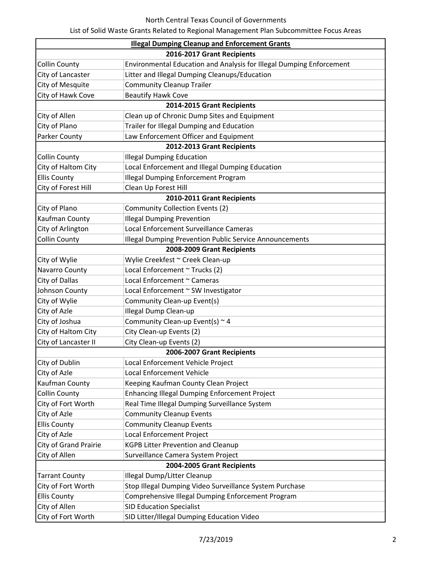|                              | <b>Illegal Dumping Cleanup and Enforcement Grants</b>                |  |
|------------------------------|----------------------------------------------------------------------|--|
| 2016-2017 Grant Recipients   |                                                                      |  |
| <b>Collin County</b>         | Environmental Education and Analysis for Illegal Dumping Enforcement |  |
| City of Lancaster            | Litter and Illegal Dumping Cleanups/Education                        |  |
| City of Mesquite             | <b>Community Cleanup Trailer</b>                                     |  |
| City of Hawk Cove            | <b>Beautify Hawk Cove</b>                                            |  |
|                              | 2014-2015 Grant Recipients                                           |  |
| City of Allen                | Clean up of Chronic Dump Sites and Equipment                         |  |
| City of Plano                | Trailer for Illegal Dumping and Education                            |  |
| Parker County                | Law Enforcement Officer and Equipment                                |  |
| 2012-2013 Grant Recipients   |                                                                      |  |
| <b>Collin County</b>         | <b>Illegal Dumping Education</b>                                     |  |
| City of Haltom City          | Local Enforcement and Illegal Dumping Education                      |  |
| <b>Ellis County</b>          | <b>Illegal Dumping Enforcement Program</b>                           |  |
| City of Forest Hill          | Clean Up Forest Hill                                                 |  |
|                              | 2010-2011 Grant Recipients                                           |  |
| City of Plano                | <b>Community Collection Events (2)</b>                               |  |
| Kaufman County               | <b>Illegal Dumping Prevention</b>                                    |  |
| City of Arlington            | Local Enforcement Surveillance Cameras                               |  |
| <b>Collin County</b>         | <b>Illegal Dumping Prevention Public Service Announcements</b>       |  |
|                              | 2008-2009 Grant Recipients                                           |  |
| City of Wylie                | Wylie Creekfest ~ Creek Clean-up                                     |  |
| Navarro County               | Local Enforcement ~ Trucks (2)                                       |  |
| City of Dallas               | Local Enforcement ~ Cameras                                          |  |
| Johnson County               | Local Enforcement ~ SW Investigator                                  |  |
| City of Wylie                | Community Clean-up Event(s)                                          |  |
| City of Azle                 | <b>Illegal Dump Clean-up</b>                                         |  |
| City of Joshua               | Community Clean-up Event(s) $\sim$ 4                                 |  |
| City of Haltom City          | City Clean-up Events (2)                                             |  |
| City of Lancaster II         | City Clean-up Events (2)                                             |  |
| 2006-2007 Grant Recipients   |                                                                      |  |
| City of Dublin               | Local Enforcement Vehicle Project                                    |  |
| City of Azle                 | <b>Local Enforcement Vehicle</b>                                     |  |
| Kaufman County               | Keeping Kaufman County Clean Project                                 |  |
| <b>Collin County</b>         | Enhancing Illegal Dumping Enforcement Project                        |  |
| City of Fort Worth           | Real Time Illegal Dumping Surveillance System                        |  |
| City of Azle                 | <b>Community Cleanup Events</b>                                      |  |
| <b>Ellis County</b>          | <b>Community Cleanup Events</b>                                      |  |
| City of Azle                 | Local Enforcement Project                                            |  |
| <b>City of Grand Prairie</b> | <b>KGPB Litter Prevention and Cleanup</b>                            |  |
| City of Allen                | Surveillance Camera System Project                                   |  |
| 2004-2005 Grant Recipients   |                                                                      |  |
| <b>Tarrant County</b>        | Illegal Dump/Litter Cleanup                                          |  |
| City of Fort Worth           | Stop Illegal Dumping Video Surveillance System Purchase              |  |
| <b>Ellis County</b>          | Comprehensive Illegal Dumping Enforcement Program                    |  |
| City of Allen                | <b>SID Education Specialist</b>                                      |  |
| City of Fort Worth           | SID Litter/Illegal Dumping Education Video                           |  |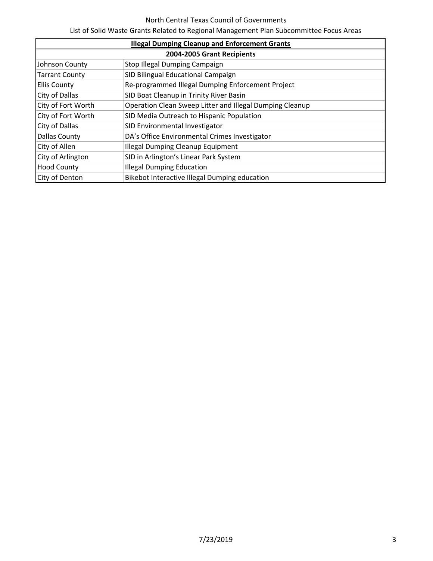## North Central Texas Council of Governments

List of Solid Waste Grants Related to Regional Management Plan Subcommittee Focus Areas

| <b>Illegal Dumping Cleanup and Enforcement Grants</b> |                                                          |  |
|-------------------------------------------------------|----------------------------------------------------------|--|
| 2004-2005 Grant Recipients                            |                                                          |  |
| Johnson County                                        | Stop Illegal Dumping Campaign                            |  |
| <b>Tarrant County</b>                                 | SID Bilingual Educational Campaign                       |  |
| <b>Ellis County</b>                                   | Re-programmed Illegal Dumping Enforcement Project        |  |
| <b>City of Dallas</b>                                 | SID Boat Cleanup in Trinity River Basin                  |  |
| City of Fort Worth                                    | Operation Clean Sweep Litter and Illegal Dumping Cleanup |  |
| City of Fort Worth                                    | SID Media Outreach to Hispanic Population                |  |
| City of Dallas                                        | SID Environmental Investigator                           |  |
| Dallas County                                         | DA's Office Environmental Crimes Investigator            |  |
| City of Allen                                         | <b>Illegal Dumping Cleanup Equipment</b>                 |  |
| City of Arlington                                     | SID in Arlington's Linear Park System                    |  |
| <b>Hood County</b>                                    | <b>Illegal Dumping Education</b>                         |  |
| City of Denton                                        | Bikebot Interactive Illegal Dumping education            |  |